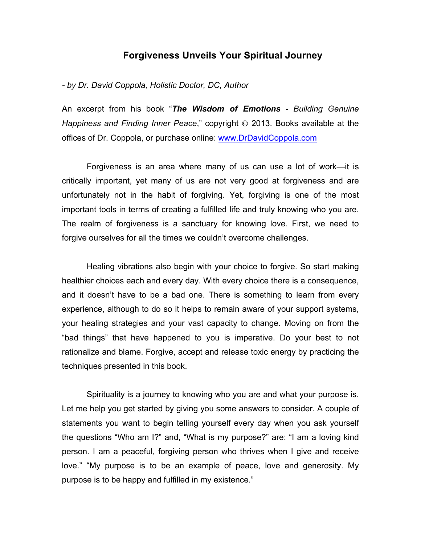## **Forgiveness Unveils Your Spiritual Journey**

## *- by Dr. David Coppola, Holistic Doctor, DC, Author*

An excerpt from his book "*The Wisdom of Emotions - Building Genuine Happiness and Finding Inner Peace,*" copyright  $\odot$  2013. Books available at the offices of Dr. Coppola, or purchase online: www.DrDavidCoppola.com

Forgiveness is an area where many of us can use a lot of work—it is critically important, yet many of us are not very good at forgiveness and are unfortunately not in the habit of forgiving. Yet, forgiving is one of the most important tools in terms of creating a fulfilled life and truly knowing who you are. The realm of forgiveness is a sanctuary for knowing love. First, we need to forgive ourselves for all the times we couldn't overcome challenges.

Healing vibrations also begin with your choice to forgive. So start making healthier choices each and every day. With every choice there is a consequence, and it doesn't have to be a bad one. There is something to learn from every experience, although to do so it helps to remain aware of your support systems, your healing strategies and your vast capacity to change. Moving on from the "bad things" that have happened to you is imperative. Do your best to not rationalize and blame. Forgive, accept and release toxic energy by practicing the techniques presented in this book.

Spirituality is a journey to knowing who you are and what your purpose is. Let me help you get started by giving you some answers to consider. A couple of statements you want to begin telling yourself every day when you ask yourself the questions "Who am I?" and, "What is my purpose?" are: "I am a loving kind person. I am a peaceful, forgiving person who thrives when I give and receive love." "My purpose is to be an example of peace, love and generosity. My purpose is to be happy and fulfilled in my existence."